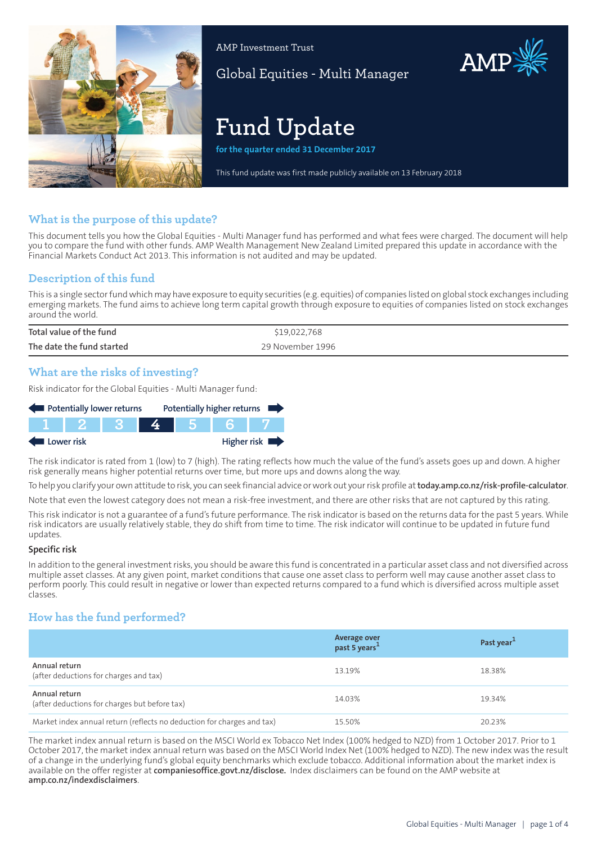

AMP Investment Trust

Global Equities - Multi Manager

# **Fund Update**

**for the quarter ended 31 December 2017**

This fund update was first made publicly available on 13 February 2018

# **What is the purpose of this update?**

This document tells you how the Global Equities - Multi Manager fund has performed and what fees were charged. The document will help you to compare the fund with other funds. AMP Wealth Management New Zealand Limited prepared this update in accordance with the Financial Markets Conduct Act 2013. This information is not audited and may be updated.

# **Description of this fund**

This is a single sectorfund which may have exposure to equity securities (e.g. equities) of companies listed on global stock exchanges including emerging markets. The fund aims to achieve long term capital growth through exposure to equities of companies listed on stock exchanges around the world.

| Total value of the fund   | \$19,022,768     |
|---------------------------|------------------|
| The date the fund started | 29 November 1996 |

# **What are the risks of investing?**

Risk indicator for the Global Equities - Multi Manager fund:



The risk indicator is rated from 1 (low) to 7 (high). The rating reflects how much the value of the fund's assets goes up and down. A higher risk generally means higher potential returns over time, but more ups and downs along the way.

To help you clarify your own attitude to risk, you can seek financial advice orwork out yourrisk profile at**[today.amp.co.nz/risk-profile-calculator](http://today.amp.co.nz/risk-profile-calculator)**.

Note that even the lowest category does not mean a risk-free investment, and there are other risks that are not captured by this rating.

This risk indicator is not a guarantee of a fund's future performance. The risk indicator is based on the returns data for the past 5 years. While risk indicators are usually relatively stable, they do shift from time to time. The risk indicator will continue to be updated in future fund updates.

#### **Specific risk**

In addition to the general investmentrisks, you should be aware this fund is concentrated in a particular asset class and not diversified across multiple asset classes. At any given point, market conditions that cause one asset class to perform well may cause another asset class to perform poorly. This could result in negative or lower than expected returns compared to a fund which is diversified across multiple asset classes.

# **How has the fund performed?**

|                                                                        | Average over<br>past 5 years <sup>1</sup> | Past year <sup>1</sup> |
|------------------------------------------------------------------------|-------------------------------------------|------------------------|
| Annual return<br>(after deductions for charges and tax)                | 13.19%                                    | 18.38%                 |
| Annual return<br>(after deductions for charges but before tax)         | 14.03%                                    | 19.34%                 |
| Market index annual return (reflects no deduction for charges and tax) | 15.50%                                    | 20.23%                 |

The market index annual return is based on the MSCI World ex Tobacco Net Index (100% hedged to NZD) from 1 October 2017. Prior to 1 October 2017, the market index annual return was based on the MSCI World Index Net (100% hedged to NZD). The new index was the result of a change in the underlying fund's global equity benchmarks which exclude tobacco. Additional information about the market index is available on the offer register at **[companiesoffice.govt.nz/disclose](http://companiesoffice.govt.nz/disclose).** Index disclaimers can be found on the AMP website at **[amp.co.nz/indexdisclaimers](http://amp.co.nz/indexdisclaimers)**.

AMP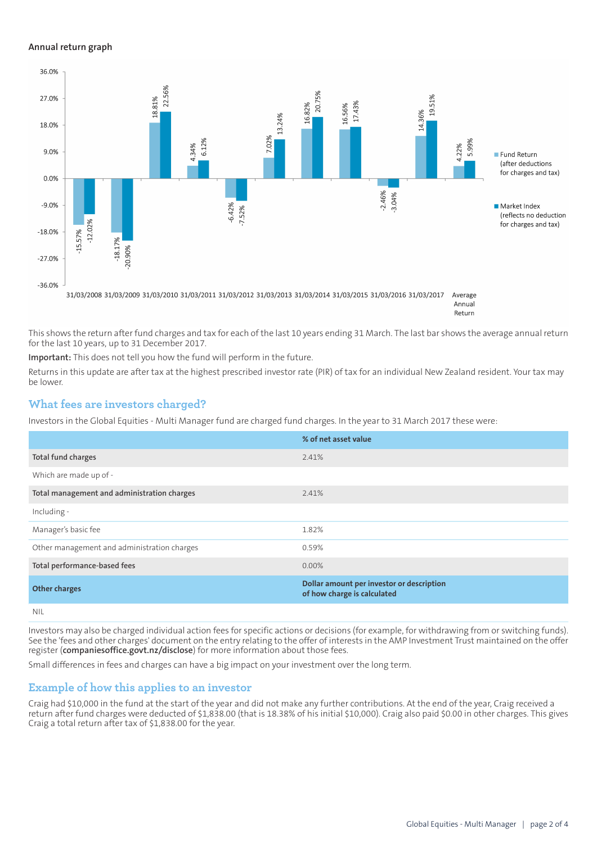### **Annual return graph**



Return

This shows the return after fund charges and tax for each of the last 10 years ending 31 March. The last bar shows the average annual return for the last 10 years, up to 31 December 2017.

**Important:** This does not tell you how the fund will perform in the future.

Returns in this update are after tax at the highest prescribed investor rate (PIR) of tax for an individual New Zealand resident. Your tax may be lower.

# **What fees are investors charged?**

Investors in the Global Equities - Multi Manager fund are charged fund charges. In the year to 31 March 2017 these were:

|                                             | % of net asset value                                                     |
|---------------------------------------------|--------------------------------------------------------------------------|
| Total fund charges                          | 2.41%                                                                    |
| Which are made up of -                      |                                                                          |
| Total management and administration charges | 2.41%                                                                    |
| Including -                                 |                                                                          |
| Manager's basic fee                         | 1.82%                                                                    |
| Other management and administration charges | 0.59%                                                                    |
| Total performance-based fees                | $0.00\%$                                                                 |
| <b>Other charges</b>                        | Dollar amount per investor or description<br>of how charge is calculated |
| NII                                         |                                                                          |

Investors may also be charged individual action fees for specific actions or decisions (for example, for withdrawing from or switching funds). See the 'fees and other charges' document on the entry relating to the offer of interests in the AMP Investment Trust maintained on the offer register (**[companiesoffice.govt.nz/disclose](http://companiesoffice.govt.nz/disclose)**) for more information about those fees.

Small differences in fees and charges can have a big impact on your investment over the long term.

# **Example of how this applies to an investor**

Craig had \$10,000 in the fund at the start of the year and did not make any further contributions. At the end of the year, Craig received a return after fund charges were deducted of \$1,838.00 (that is 18.38% of his initial \$10,000). Craig also paid \$0.00 in other charges. This gives Craig a total return after tax of \$1,838.00 for the year.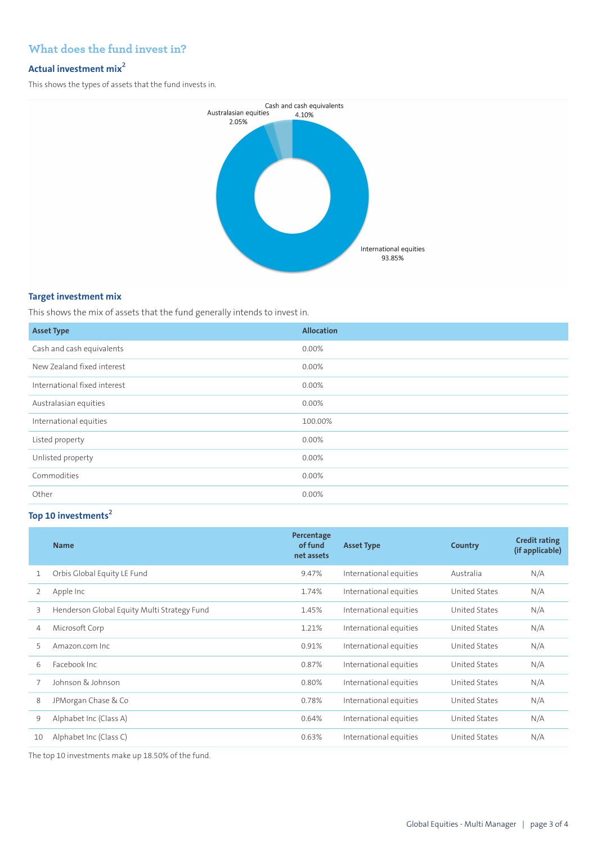# **What does the fund invest in?**

# **Actual investment mix<sup>2</sup>**

This shows the types of assets that the fund invests in.



## **Target investment mix**

This shows the mix of assets that the fund generally intends to invest in.

| <b>Asset Type</b>            | <b>Allocation</b> |
|------------------------------|-------------------|
| Cash and cash equivalents    | 0.00%             |
| New Zealand fixed interest   | 0.00%             |
| International fixed interest | 0.00%             |
| Australasian equities        | 0.00%             |
| International equities       | 100.00%           |
| Listed property              | 0.00%             |
| Unlisted property            | 0.00%             |
| Commodities                  | 0.00%             |
| Other                        | $0.00\%$          |

# **Top 10 investments<sup>2</sup>**

|    | <b>Name</b>                                 | Percentage<br>of fund<br>net assets | <b>Asset Type</b>      | <b>Country</b> | <b>Credit rating</b><br>(if applicable) |
|----|---------------------------------------------|-------------------------------------|------------------------|----------------|-----------------------------------------|
| 1  | Orbis Global Equity LE Fund                 | 9.47%                               | International equities | Australia      | N/A                                     |
| 2  | Apple Inc                                   | 1.74%                               | International equities | United States  | N/A                                     |
| 3  | Henderson Global Equity Multi Strategy Fund | 1.45%                               | International equities | United States  | N/A                                     |
| 4  | Microsoft Corp                              | 1.21%                               | International equities | United States  | N/A                                     |
| 5  | Amazon.com Inc.                             | 0.91%                               | International equities | United States  | N/A                                     |
| 6  | Facebook Inc.                               | 0.87%                               | International equities | United States  | N/A                                     |
|    | Johnson & Johnson                           | 0.80%                               | International equities | United States  | N/A                                     |
| 8  | JPMorgan Chase & Co                         | 0.78%                               | International equities | United States  | N/A                                     |
| 9  | Alphabet Inc (Class A)                      | 0.64%                               | International equities | United States  | N/A                                     |
| 10 | Alphabet Inc (Class C)                      | 0.63%                               | International equities | United States  | N/A                                     |

The top 10 investments make up 18.50% of the fund.